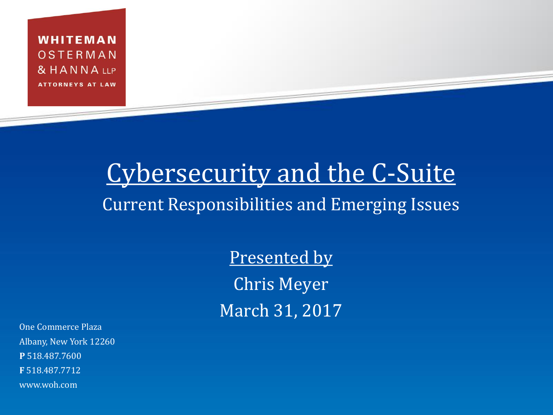WHITEMAN OSTERMAN & HANNA LLP **ATTORNEYS AT LAW** 

#### Cybersecurity and the C-Suite Current Responsibilities and Emerging Issues

Presented by Chris Meyer March 31, 2017

One Commerce Plaza Albany, New York 12260 **P** 518.487.7600 **F** 518.487.7712 www.woh.com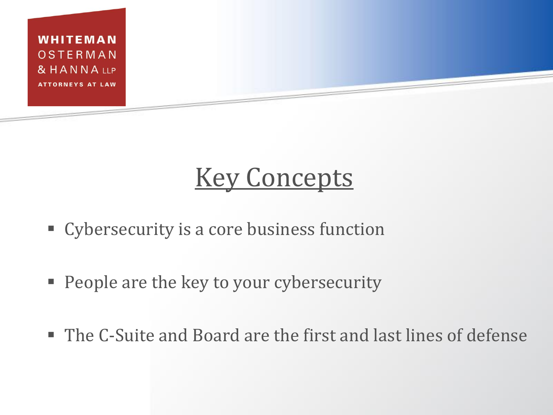

## **Key Concepts**

- **Cybersecurity is a core business function**
- **People are the key to your cybersecurity**
- The C-Suite and Board are the first and last lines of defense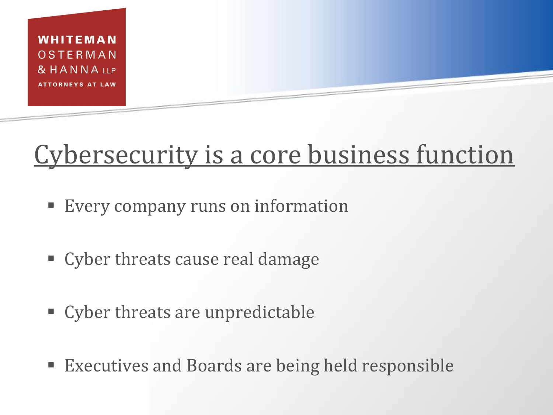

#### Cybersecurity is a core business function

- Every company runs on information
- Cyber threats cause real damage
- Cyber threats are unpredictable
- Executives and Boards are being held responsible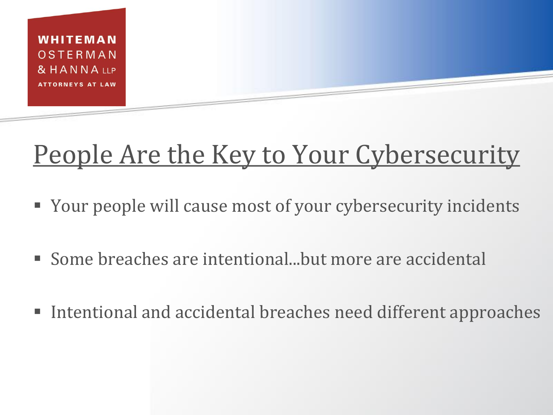

## People Are the Key to Your Cybersecurity

- Your people will cause most of your cybersecurity incidents
- Some breaches are intentional...but more are accidental
- Intentional and accidental breaches need different approaches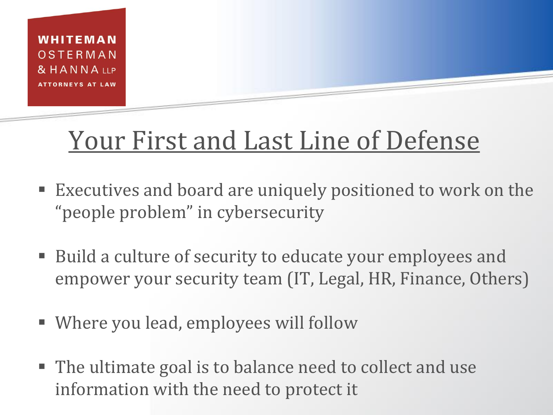

#### Your First and Last Line of Defense

- Executives and board are uniquely positioned to work on the "people problem" in cybersecurity
- Build a culture of security to educate your employees and empower your security team (IT, Legal, HR, Finance, Others)
- Where you lead, employees will follow
- The ultimate goal is to balance need to collect and use information with the need to protect it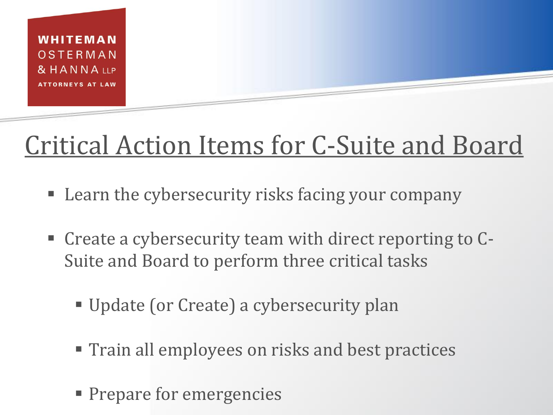

# Critical Action Items for C-Suite and Board

- Learn the cybersecurity risks facing your company
- Create a cybersecurity team with direct reporting to C-Suite and Board to perform three critical tasks
	- Update (or Create) a cybersecurity plan
	- **Train all employees on risks and best practices**
	- **Prepare for emergencies**